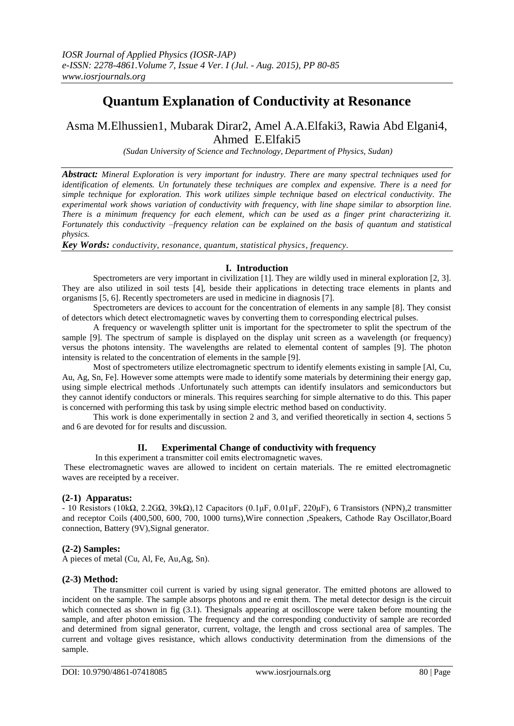# **Quantum Explanation of Conductivity at Resonance**

# Asma M.Elhussien1, Mubarak Dirar2, Amel A.A.Elfaki3, Rawia Abd Elgani4, Ahmed E.Elfaki5

*(Sudan University of Science and Technology, Department of Physics, Sudan)*

*Abstract: Mineral Exploration is very important for industry. There are many spectral techniques used for identification of elements. Un fortunately these techniques are complex and expensive. There is a need for simple technique for exploration. This work utilizes simple technique based on electrical conductivity. The experimental work shows variation of conductivity with frequency, with line shape similar to absorption line. There is a minimum frequency for each element, which can be used as a finger print characterizing it. Fortunately this conductivity –frequency relation can be explained on the basis of quantum and statistical physics.* 

*Key Words: conductivity, resonance, quantum, statistical physics, frequency.*

#### **I. Introduction**

Spectrometers are very important in civilization [1]. They are wildly used in mineral exploration [2, 3]. They are also utilized in soil tests [4], beside their applications in detecting trace elements in plants and organisms [5, 6]. Recently spectrometers are used in medicine in diagnosis [7].

Spectrometers are devices to account for the concentration of elements in any sample [8]. They consist of detectors which detect electromagnetic waves by converting them to corresponding electrical pulses.

A frequency or wavelength splitter unit is important for the spectrometer to split the spectrum of the sample [9]. The spectrum of sample is displayed on the display unit screen as a wavelength (or frequency) versus the photons intensity. The wavelengths are related to elemental content of samples [9]. The photon intensity is related to the concentration of elements in the sample [9].

Most of spectrometers utilize electromagnetic spectrum to identify elements existing in sample [Al, Cu, Au, Ag, Sn, Fe]. However some attempts were made to identify some materials by determining their energy gap, using simple electrical methods .Unfortunately such attempts can identify insulators and semiconductors but they cannot identify conductors or minerals. This requires searching for simple alternative to do this. This paper is concerned with performing this task by using simple electric method based on conductivity.

This work is done experimentally in section 2 and 3, and verified theoretically in section 4, sections 5 and 6 are devoted for for results and discussion.

# **II. Experimental Change of conductivity with frequency**

In this experiment a transmitter coil emits electromagnetic waves.

These electromagnetic waves are allowed to incident on certain materials. The re emitted electromagnetic waves are receipted by a receiver.

# **(2-1) Apparatus:**

- 10 Resistors (10kΩ, 2.2GΩ, 39kΩ),12 Capacitors (0.1μF, 0.01μF, 220μF), 6 Transistors (NPN),2 transmitter and receptor Coils (400,500, 600, 700, 1000 turns),Wire connection ,Speakers, Cathode Ray Oscillator,Board connection, Battery (9V),Signal generator.

# **(2-2) Samples:**

A pieces of metal (Cu, Al, Fe, Au,Ag, Sn).

#### **(2-3) Method:**

The transmitter coil current is varied by using signal generator. The emitted photons are allowed to incident on the sample. The sample absorps photons and re emit them. The metal detector design is the circuit which connected as shown in fig (3.1). Thesignals appearing at oscilloscope were taken before mounting the sample, and after photon emission. The frequency and the corresponding conductivity of sample are recorded and determined from signal generator, current, voltage, the length and cross sectional area of samples. The current and voltage gives resistance, which allows conductivity determination from the dimensions of the sample.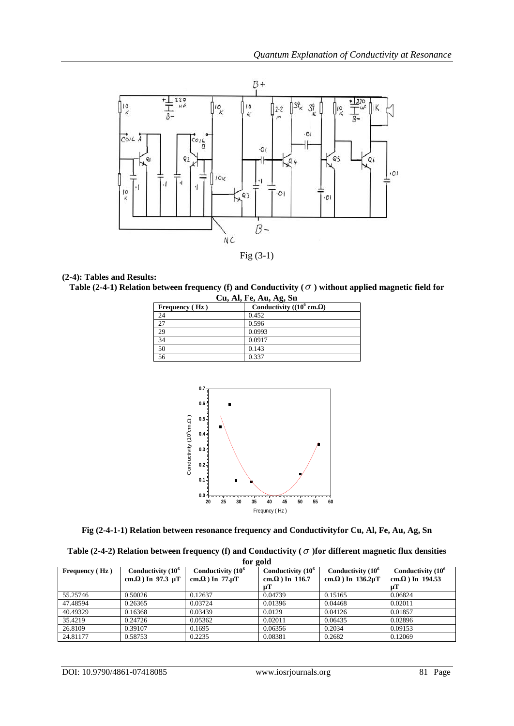

Fig (3-1)

### **(2-4): Tables and Results:**

Table (2-4-1) Relation between frequency (f) and Conductivity ( $\sigma$  ) without applied magnetic field for

| Cu, Al, Fe, Au, Ag, Sn |                                           |  |  |  |
|------------------------|-------------------------------------------|--|--|--|
| Frequency (Hz)         | Conductivity ( $(10^6 \text{ cm.}\Omega)$ |  |  |  |
| 24                     | 0.452                                     |  |  |  |
| 27                     | 0.596                                     |  |  |  |
| 29                     | 0.0993                                    |  |  |  |
| $\overline{34}$        | 0.0917                                    |  |  |  |
| 50                     | 0.143                                     |  |  |  |
| 56                     | 0.337                                     |  |  |  |



**Fig (2-4-1-1) Relation between resonance frequency and Conductivityfor Cu, Al, Fe, Au, Ag, Sn**

| Table (2-4-2) Relation between frequency (f) and Conductivity ( $\sigma$ ) for different magnetic flux densities |
|------------------------------------------------------------------------------------------------------------------|
| for gold                                                                                                         |

| $101 \pm 010$         |                           |                         |                         |                                 |                          |  |  |
|-----------------------|---------------------------|-------------------------|-------------------------|---------------------------------|--------------------------|--|--|
| <b>Frequency</b> (Hz) | Conductivity $(10^6$      | Conductivity $(10^6)$   | Conductivity $(10^6$    | Conductivity $(10^6$            | Conductivity $(10^6$     |  |  |
|                       | cm. $\Omega$ ) In 97.3 µT | cm. $\Omega$ ) In 77.uT | cm, $\Omega$ ) In 116.7 | cm. $\Omega$ ) In 136.2 $\mu$ T | cm. $\Omega$ ) In 194.53 |  |  |
|                       |                           |                         | цT                      |                                 |                          |  |  |
| 55.25746              | 0.50026                   | 0.12637                 | 0.04739                 | 0.15165                         | 0.06824                  |  |  |
| 47.48594              | 0.26365                   | 0.03724                 | 0.01396                 | 0.04468                         | 0.02011                  |  |  |
| 40.49329              | 0.16368                   | 0.03439                 | 0.0129                  | 0.04126                         | 0.01857                  |  |  |
| 35.4219               | 0.24726                   | 0.05362                 | 0.02011                 | 0.06435                         | 0.02896                  |  |  |
| 26.8109               | 0.39107                   | 0.1695                  | 0.06356                 | 0.2034                          | 0.09153                  |  |  |
| 24.81177              | 0.58753                   | 0.2235                  | 0.08381                 | 0.2682                          | 0.12069                  |  |  |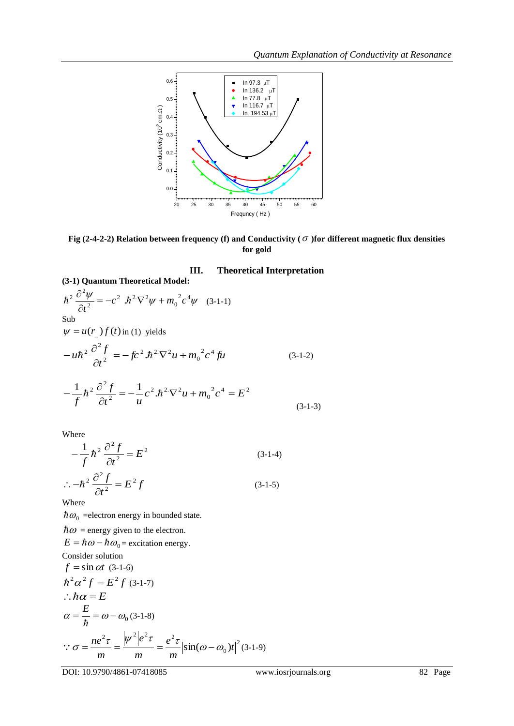

Fig (2-4-2-2) Relation between frequency (f) and Conductivity (  $\sigma$  )for different magnetic flux densities **for gold**

# **III. Theoretical Interpretation**

(3-1) Quantum Theoretical Model:  
\n
$$
\hbar^2 \frac{\partial^2 \psi}{\partial t^2} = -c^2 \cdot \hbar^2 \nabla^2 \psi + m_0^2 c^4 \psi \quad (3-1-1)
$$
\nSub  
\n
$$
\psi = u(r_{-}) f(t) \text{ in (1) yields}
$$
\n
$$
-u\hbar^2 \frac{\partial^2 f}{\partial t^2} = -fc^2 \cdot \hbar^2 \nabla^2 u + m_0^2 c^4 f u \quad (3-1-2)
$$
\n
$$
- \frac{1}{f} \hbar^2 \frac{\partial^2 f}{\partial t^2} = -\frac{1}{u} c^2 \cdot \hbar^2 \nabla^2 u + m_0^2 c^4 = E^2 \quad (3-1-3)
$$

Where

$$
-\frac{1}{f}\hbar^2\frac{\partial^2 f}{\partial t^2} = E^2
$$
\n
$$
\therefore -\hbar^2\frac{\partial^2 f}{\partial t^2} = E^2 f
$$
\n(3-1-4)\n(3-1-5)

Where

*t*

 $\partial$ 

2

 $\hbar\omega_0$  =electron energy in bounded state.

 $\hbar\omega$  = energy given to the electron.

 $E = \hbar \omega - \hbar \omega_0$  = excitation energy.

Consider solution  
\n
$$
f = \sin \alpha t
$$
 (3-1-6)  
\n $\hbar^2 \alpha^2 f = E^2 f$  (3-1-7)  
\n $\therefore \hbar \alpha = E$   
\n $\alpha = \frac{E}{\hbar} = \omega - \omega_0$  (3-1-8)  
\n $\therefore \sigma = \frac{ne^2 \tau}{m} = \frac{|\psi^2|e^2 \tau}{m} = \frac{e^2 \tau}{m} |\sin(\omega - \omega_0)t|^2$  (3-1-9)

DOI: 10.9790/4861-07418085 www.iosrjournals.org 82 | Page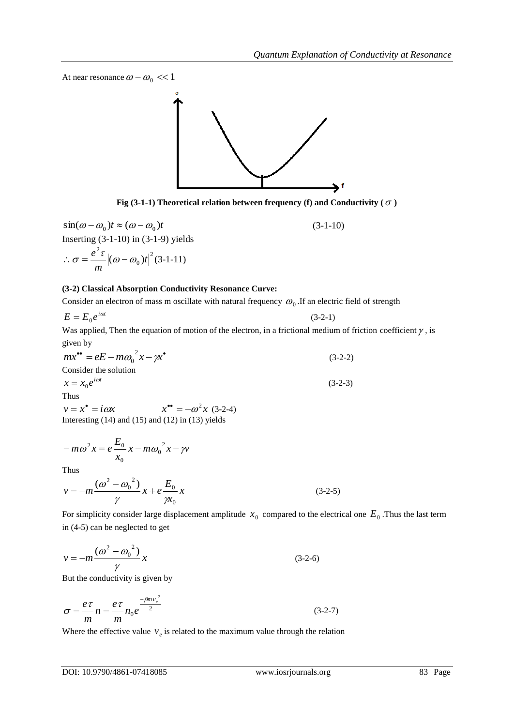At near resonance  $\omega - \omega_0 \ll 1$ 



Fig (3-1-1) Theoretical relation between frequency (f) and Conductivity ( $\sigma$ )

 $\sin(\omega - \omega_0)t \approx (\omega - \omega_0)t$  $(3-1-10)$ Inserting (3-1-10) in (3-1-9) yields 2  $\overline{0}$ 2  $(\omega - \omega_0)t$ *m*  $\therefore \sigma = \frac{e^2 \tau}{\omega} \left| (\omega - \omega_0)t \right|^2 (3-1-11)$ 

#### **(3-2) Classical Absorption Conductivity Resonance Curve:**

Consider an electron of mass m oscillate with natural frequency  $\omega_0$ . If an electric field of strength

$$
E = E_0 e^{i\omega t} \tag{3-2-1}
$$

Was applied, Then the equation of motion of the electron, in a frictional medium of friction coefficient  $\gamma$ , is given by

$$
mx^{\bullet\bullet} = eE - m\omega_0^2 x - \gamma x^{\bullet}
$$
  
Consider the solution  

$$
x = x_0 e^{i\omega t}
$$
 (3-2-3)  
Thus (3-2-3)

 $v = x^* = i\omega x$   $x^{**} = -\omega^2 x$  (3-2-4) Interesting  $(14)$  and  $(15)$  and  $(12)$  in  $(13)$  yields

$$
-m\omega^2 x = e \frac{E_0}{x_0} x - m \omega_0^2 x - \gamma v
$$

Thus

$$
v = -m \frac{(\omega^2 - {\omega_0}^2)}{\gamma} x + e \frac{E_0}{\gamma x_0} x \tag{3-2-5}
$$

For simplicity consider large displacement amplitude  $x_0$  compared to the electrical one  $E_0$ . Thus the last term in (4-5) can be neglected to get

$$
v = -m \frac{(\omega^2 - {\omega_0}^2)}{\gamma} x
$$
 (3-2-6)

But the conductivity is given by

$$
\sigma = \frac{e\tau}{m}n = \frac{e\tau}{m}n_0 e^{\frac{-\beta m v_e^2}{2}}
$$
\n(3-2-7)

Where the effective value  $v_e$  is related to the maximum value through the relation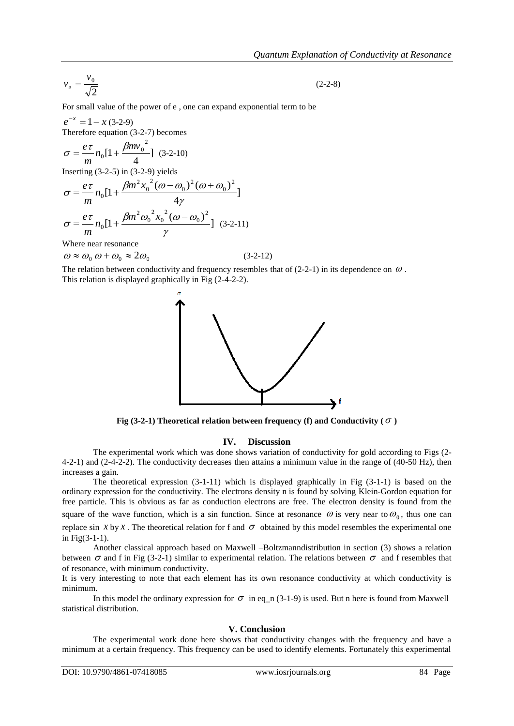$$
v_e = \frac{v_0}{\sqrt{2}}\tag{2-2-8}
$$

For small value of the power of e , one can expand exponential term to be

 $e^{-x} = 1 - x (3-2-9)$ Therefore equation (3-2-7) becomes  $2mv_0^2$ *e*

$$
\sigma = \frac{e\tau}{m} n_0 [1 + \frac{pmv_0}{4}] (3-2-10)
$$

Inserting  $(3-2-5)$  in  $(3-2-9)$  yields

$$
\sigma = \frac{e\,\tau}{m} n_0 \left[ 1 + \frac{\beta m^2 x_0^2 (\omega - \omega_0)^2 (\omega + \omega_0)^2}{4\gamma} \right]
$$

$$
\sigma = \frac{e\,\tau}{m} n_0 \left[ 1 + \frac{\beta m^2 \omega_0^2 x_0^2 (\omega - \omega_0)^2}{\gamma} \right] (3\text{-}2\text{-}11)
$$

Where near resonance

 $\omega \approx \omega_0 \omega + \omega_0 \approx 2\omega_0$ 

The relation between conductivity and frequency resembles that of  $(2-2-1)$  in its dependence on  $\omega$ . This relation is displayed graphically in Fig (2-4-2-2).



(3-2-12)

Fig (3-2-1) Theoretical relation between frequency (f) and Conductivity ( $\sigma$ )

#### **IV. Discussion**

The experimental work which was done shows variation of conductivity for gold according to Figs (2- 4-2-1) and (2-4-2-2). The conductivity decreases then attains a minimum value in the range of (40-50 Hz), then increases a gain.

The theoretical expression (3-1-11) which is displayed graphically in Fig (3-1-1) is based on the ordinary expression for the conductivity. The electrons density n is found by solving Klein-Gordon equation for free particle. This is obvious as far as conduction electrons are free. The electron density is found from the square of the wave function, which is a sin function. Since at resonance  $\omega$  is very near to  $\omega_0$ , thus one can replace sin  $x$  by  $x$ . The theoretical relation for f and  $\sigma$  obtained by this model resembles the experimental one in Fig(3-1-1).

Another classical approach based on Maxwell –Boltzmanndistribution in section (3) shows a relation between  $\sigma$  and f in Fig (3-2-1) similar to experimental relation. The relations between  $\sigma$  and f resembles that of resonance, with minimum conductivity.

It is very interesting to note that each element has its own resonance conductivity at which conductivity is minimum.

In this model the ordinary expression for  $\sigma$  in eq\_n (3-1-9) is used. But n here is found from Maxwell statistical distribution.

#### **V. Conclusion**

The experimental work done here shows that conductivity changes with the frequency and have a minimum at a certain frequency. This frequency can be used to identify elements. Fortunately this experimental